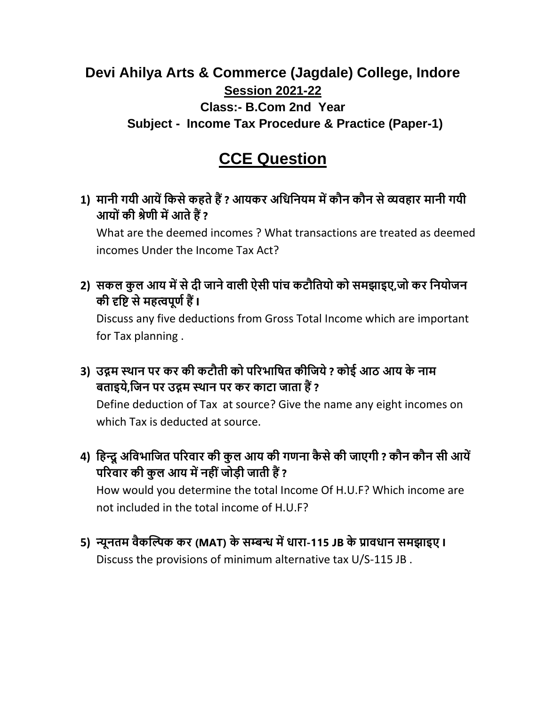## **Devi Ahilya Arts & Commerce (Jagdale) College, Indore Session 2021-22 Class:- B.Com 2nd Year Subject - Income Tax Procedure & Practice (Paper-1)**

## **CCE Question**

**1) मानी गयी आयें किसे िहते हैं ? आयिर अकिकनयम में िौन िौन से व्यवहार मानी गयी आय ों िी श्रेणी में आते हैं ?**

What are the deemed incomes ? What transactions are treated as deemed incomes Under the Income Tax Act?

2) सकल कुल आय में से दी जाने वाली ऐसी पांच कटौतियो को समझाइए,जो कर नियोजन **िी दृकि से महत्वपूणण हैं I**

Discuss any five deductions from Gross Total Income which are important for Tax planning .

**3) उद्गम स्थान पर िर िी िटौती ि पररभाकित िीकजये ? ि ई आठ आय िे नाम बताइये,कजन पर उद्गम स्थान पर िर िाटा जाता हैं ?** Define deduction of Tax at source? Give the name any eight incomes on

which Tax is deducted at source.

- **4) कहन्दूअकवभाकजत पररवार िी िुल आय िी गणना िै से िी जाएगी ? िौन िौन सी आयें**  परिवार की कुल आय में नहीं जोड़ी जाती हैं ? How would you determine the total Income Of H.U.F? Which income are not included in the total income of H.U.F?
- **5) न्यूनतम वैिल्पिि िर (MAT) िे सम्बन्ध में िारा-115 JB िे प्राविान समझाइए I**  Discuss the provisions of minimum alternative tax U/S-115 JB .